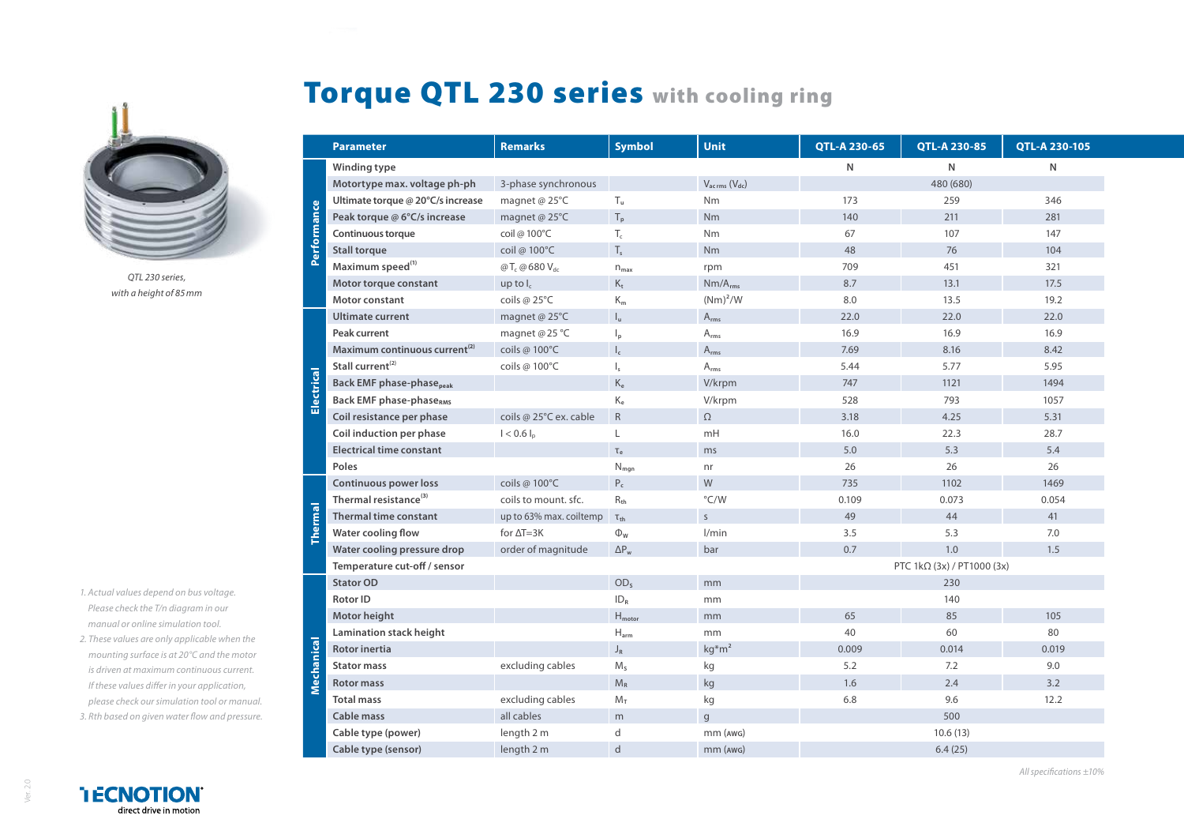

*QTL 230 series, with a height of 85mm*

- *1. Actual values depend on bus voltage. Please check the T/n diagram in our manual or online simulation tool.*
- *2. These values are only applicable when the mounting surface is at 20°C and the motor is driven at maximum continuous current. If these values differ in your application, please check our simulation tool or manual. 3. Rth based on given water flow and pressure.*



Ver. 2.0

## Torque QTL 230 series with cooling ring

|                | <b>Parameter</b>                          | <b>Remarks</b>                       | <b>Symbol</b>               | Unit                   | QTL-A 230-65 | <b>QTL-A 230-85</b>        | <b>QTL-A 230-105</b> |
|----------------|-------------------------------------------|--------------------------------------|-----------------------------|------------------------|--------------|----------------------------|----------------------|
| Performance    | Winding type                              |                                      |                             |                        | N            | N                          | $\mathsf{N}$         |
|                | Motortype max. voltage ph-ph              | 3-phase synchronous                  |                             | $V_{ac\,rms} (V_{dc})$ |              | 480 (680)                  |                      |
|                | Ultimate torque @ 20°C/s increase         | magnet @ 25°C                        | $T_u$                       | Nm                     | 173          | 259                        | 346                  |
|                | Peak torque @ 6°C/s increase              | magnet @ $25^{\circ}$ C              | $T_{\rm p}$                 | <b>Nm</b>              | 140          | 211                        | 281                  |
|                | <b>Continuous torque</b>                  | coil @ 100°C                         | $T_{\rm c}$                 | Nm                     | 67           | 107                        | 147                  |
|                | <b>Stall torque</b>                       | coil @ 100°C                         | $T_{s}$                     | <b>Nm</b>              | 48           | 76                         | 104                  |
|                | Maximum speed $(1)$                       | @T <sub>c</sub> @680 V <sub>dc</sub> | $n_{max}$                   | rpm                    | 709          | 451                        | 321                  |
|                | Motor torque constant                     | up to $I_c$                          | $K_t$                       | $Nm/A_{rms}$           | 8.7          | 13.1                       | 17.5                 |
|                | Motor constant                            | coils @ 25°C                         | $K_m$                       | $(Nm)^2/W$             | 8.0          | 13.5                       | 19.2                 |
| Electrical     | <b>Ultimate current</b>                   | magnet @ 25°C                        | $I_{u}$                     | $A_{rms}$              | 22.0         | 22.0                       | 22.0                 |
|                | Peak current                              | magnet @ $25^{\circ}$ C              | $\mathsf{I}_{\mathsf{p}}$   | $A_{rms}$              | 16.9         | 16.9                       | 16.9                 |
|                | Maximum continuous current <sup>(2)</sup> | coils @ 100°C                        | $\mathsf{I}_\mathsf{c}$     | $A_{rms}$              | 7.69         | 8.16                       | 8.42                 |
|                | Stall current <sup>(2)</sup>              | coils @ 100°C                        | $\mathsf{I}_\mathsf{s}$     | $A_{rms}$              | 5.44         | 5.77                       | 5.95                 |
|                | <b>Back EMF phase-phase</b> peak          |                                      | $K_{e}$                     | V/krpm                 | 747          | 1121                       | 1494                 |
|                | <b>Back EMF phase-phaseRMS</b>            |                                      | $\rm K_e$                   | V/krpm                 | 528          | 793                        | 1057                 |
|                | Coil resistance per phase                 | coils @ 25°C ex. cable               | $\mathsf{R}$                | $\Omega$               | 3.18         | 4.25                       | 5.31                 |
|                | Coil induction per phase                  | $I < 0.6 I_p$                        | Г                           | mH                     | 16.0         | 22.3                       | 28.7                 |
|                | <b>Electrical time constant</b>           |                                      | $T_e$                       | ms                     | 5.0          | 5.3                        | 5.4                  |
|                | Poles                                     |                                      | $\mathsf{N}_{\mathsf{mgn}}$ | nr                     | 26           | 26                         | 26                   |
| <b>Thermal</b> | <b>Continuous power loss</b>              | coils @ 100°C                        | $P_c$                       | W                      | 735          | 1102                       | 1469                 |
|                | Thermal resistance <sup>(3)</sup>         | coils to mount, sfc.                 | $R_{th}$                    | °C/W                   | 0.109        | 0.073                      | 0.054                |
|                | <b>Thermal time constant</b>              | up to 63% max. coiltemp              | $\tau_{\text{th}}$          | $\mathsf{S}$           | 49           | 44                         | 41                   |
|                | Water cooling flow                        | for $\Delta T = 3K$                  | $\Phi_{w}$                  | l/min                  | 3.5          | 5.3                        | 7.0                  |
|                | Water cooling pressure drop               | order of magnitude                   | $\Delta P_w$                | bar                    | 0.7          | 1.0                        | 1.5                  |
|                | Temperature cut-off / sensor              |                                      |                             |                        |              | PTC 1kΩ (3x) / PT1000 (3x) |                      |
| Mechanical     | <b>Stator OD</b>                          |                                      | OD <sub>s</sub>             | mm                     |              | 230                        |                      |
|                | Rotor ID                                  |                                      | ID <sub>R</sub>             | mm                     |              | 140                        |                      |
|                | Motor height                              |                                      | $H_{motor}$                 | mm                     | 65           | 85                         | 105                  |
|                | Lamination stack height                   |                                      | $H_{arm}$                   | mm                     | 40           | 60                         | 80                   |
|                | <b>Rotor inertia</b>                      |                                      | $\mathsf{J}_\mathsf{R}$     | $kg*m2$                | 0.009        | 0.014                      | 0.019                |
|                | <b>Stator mass</b>                        | excluding cables                     | M <sub>s</sub>              | kg                     | 5.2          | 7.2                        | 9.0                  |
|                | <b>Rotor mass</b>                         |                                      | $M_R$                       | kg                     | 1.6          | 2.4                        | 3.2                  |
|                | <b>Total mass</b>                         | excluding cables                     | $M_T$                       | kg                     | 6.8          | 9.6                        | 12.2                 |
|                | <b>Cable mass</b>                         | all cables                           | m                           | g                      |              | 500                        |                      |
|                | Cable type (power)                        | length 2 m                           | d                           | mm (AWG)               |              | 10.6(13)                   |                      |
|                | Cable type (sensor)                       | length 2 m                           | $\mathsf{d}$                | mm (AWG)               |              | 6.4(25)                    |                      |